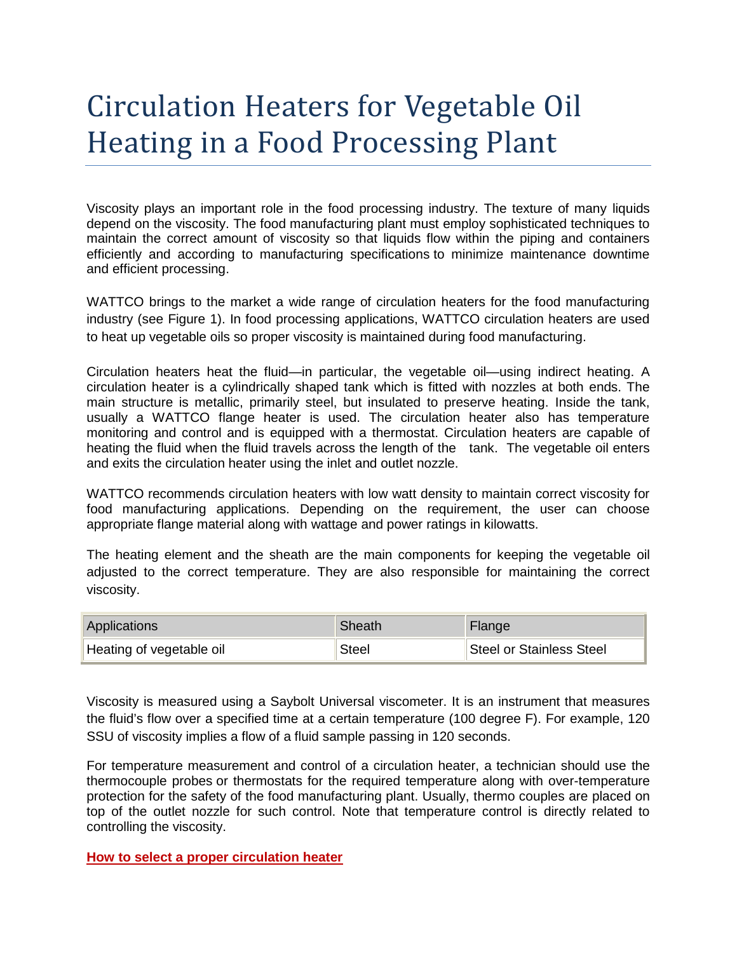## Circulation Heaters for Vegetable Oil Heating in a Food Processing Plant

Viscosity plays an important role in the food processing industry. The texture of many liquids depend on the viscosity. The food manufacturing plant must employ sophisticated techniques to maintain the correct amount of viscosity so that liquids flow within the piping and containers efficiently and according to manufacturing specifications to minimize maintenance downtime and efficient processing.

WATTCO brings to the market a wide range of circulation heaters for the food manufacturing industry (see Figure 1). In food processing applications, WATTCO circulation heaters are used to heat up vegetable oils so proper viscosity is maintained during food manufacturing.

Circulation heaters heat the fluid—in particular, the vegetable oil—using indirect heating. A circulation heater is a cylindrically shaped tank which is fitted with nozzles at both ends. The main structure is metallic, primarily steel, but insulated to preserve heating. Inside the tank, usually a WATTCO flange heater is used. The circulation heater also has temperature monitoring and control and is equipped with a thermostat. Circulation heaters are capable of heating the fluid when the fluid travels across the length of the tank. The vegetable oil enters and exits the circulation heater using the inlet and outlet nozzle.

WATTCO recommends circulation heaters with low watt density to maintain correct viscosity for food manufacturing applications. Depending on the requirement, the user can choose appropriate flange material along with wattage and power ratings in kilowatts.

The heating element and the sheath are the main components for keeping the vegetable oil adjusted to the correct temperature. They are also responsible for maintaining the correct viscosity.

| Applications             | <b>Sheath</b> | Flange                   |
|--------------------------|---------------|--------------------------|
| Heating of vegetable oil | Steel         | Steel or Stainless Steel |

Viscosity is measured using a Saybolt Universal viscometer. It is an instrument that measures the fluid's flow over a specified time at a certain temperature (100 degree F). For example, 120 SSU of viscosity implies a flow of a fluid sample passing in 120 seconds.

For temperature measurement and control of a circulation heater, a technician should use the thermocouple probes or thermostats for the required temperature along with over-temperature protection for the safety of the food manufacturing plant. Usually, thermo couples are placed on top of the outlet nozzle for such control. Note that temperature control is directly related to controlling the viscosity.

**How to select a proper circulation heater**